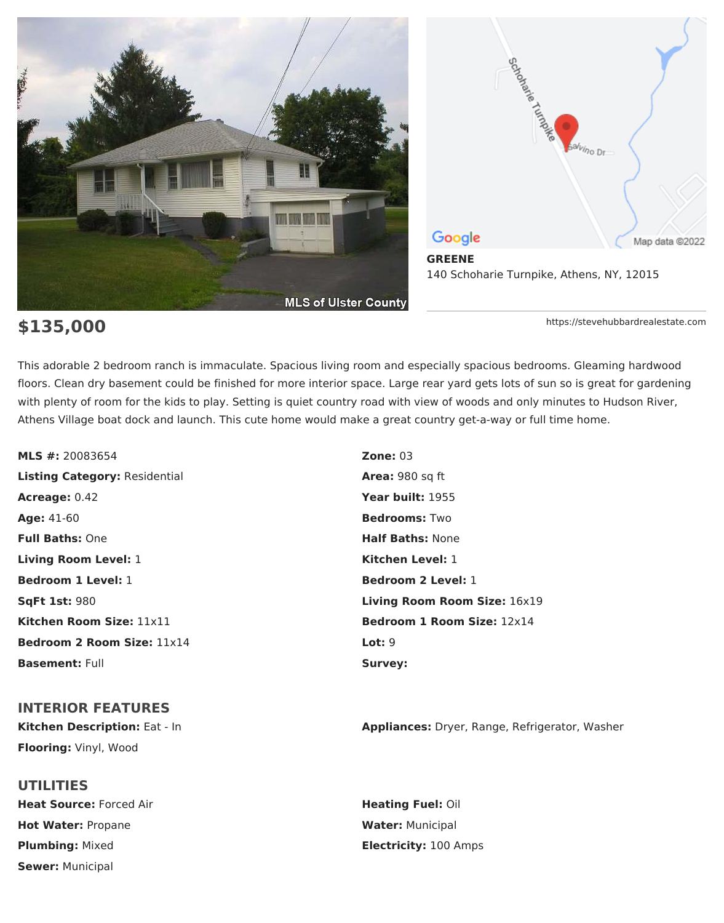



**\$135,000** https://stevehubbardrealestate.com

This adorable 2 bedroom ranch is immaculate. Spacious living room and especially spacious bedrooms. Gleaming hardwood floors. Clean dry basement could be finished for more interior space. Large rear yard gets lots of sun so is great for gardening with plenty of room for the kids to play. Setting is quiet country road with view of woods and only minutes to Hudson River, Athens Village boat dock and launch. This cute home would make a great country get-a-way or full time home.

**MLS #:** 20083654 **Zone:** 03 **Listing Category:** Residential **Area:** 980 sq ft **Acreage:** 0.42 **Year built:** 1955 **Age:** 41-60 **Bedrooms:** Two **Full Baths:** One **Half Baths:** None **Living Room Level:** 1 **Kitchen Level:** 1 **Bedroom 1 Level:** 1 **Bedroom 2 Level:** 1 **Kitchen Room Size:** 11x11 **Bedroom 1 Room Size:** 12x14 **Bedroom 2 Room Size:** 11x14 **Lot:** 9 **Basement:** Full **Survey:** Survey:

# **INTERIOR FEATURES**

**Flooring:** Vinyl, Wood

**UTILITIES Heat Source:** Forced Air **Heating Fuel: Oil Heating Fuel: Oil Hot Water: Propane <b>Water:** Municipal **Plumbing:** Mixed **Electricity:** 100 Amps **Sewer:** Municipal

**SqFt 1st:** 980 **Living Room Room Size:** 16x19

**Kitchen Description:** Eat - In **Appliances:** Dryer, Range, Refrigerator, Washer